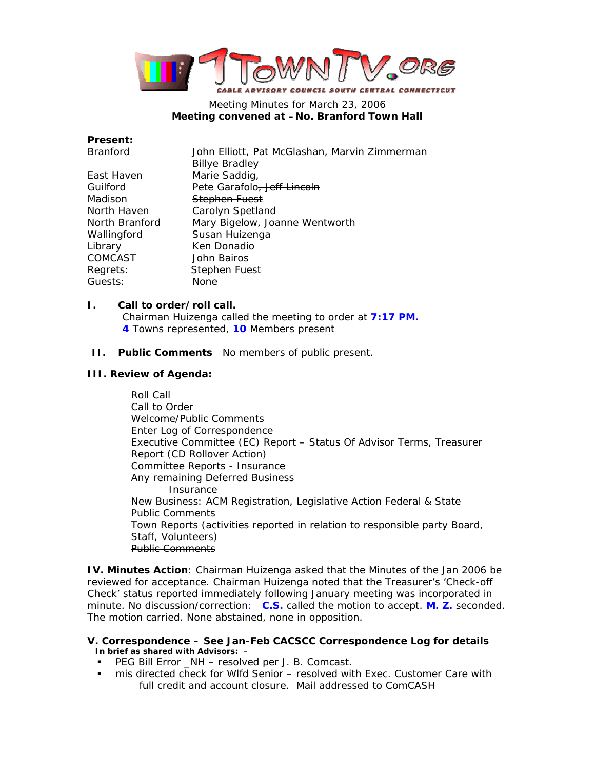

# Meeting Minutes for March 23, 2006 **Meeting convened at –No. Branford Town Hall**

# **Present:**

| <b>Branford</b> | John Elliott, Pat McGlashan, Marvin Zimmerman |
|-----------------|-----------------------------------------------|
|                 | <b>Billye Bradley</b>                         |
| East Haven      | Marie Saddig,                                 |
| Guilford        | Pete Garafolo, Jeff Lincoln                   |
| Madison         | Stephen Fuest                                 |
| North Haven     | Carolyn Spetland                              |
| North Branford  | Mary Bigelow, Joanne Wentworth                |
| Wallingford     | Susan Huizenga                                |
| Library         | Ken Donadio                                   |
| <b>COMCAST</b>  | John Bairos                                   |
| Regrets:        | Stephen Fuest                                 |
| Guests:         | None                                          |
|                 |                                               |

# **I. Call to order/roll call.**

Chairman Huizenga called the meeting to order at **7:17 PM. 4** Towns represented, **10** Members present

**II. Public Comments** No members of public present.

## **III. Review of Agenda:**

Roll Call Call to Order Welcome/Public Comments Enter Log of Correspondence Executive Committee (EC) Report – Status Of Advisor Terms, Treasurer Report (CD Rollover Action) Committee Reports - Insurance Any remaining Deferred Business Insurance New Business: ACM Registration, Legislative Action Federal & State Public Comments Town Reports (activities reported in relation to responsible party Board, Staff, Volunteers) Public Comments

**IV. Minutes Action**: Chairman Huizenga asked that the Minutes of the Jan 2006 be reviewed for acceptance. Chairman Huizenga noted that the Treasurer's 'Check-off Check' status reported immediately following January meeting was incorporated in minute. No discussion/correction: **C.S.** called the motion to accept. **M. Z.** seconded. The motion carried. None abstained, none in opposition.

## **V. Correspondence – See Jan-Feb CACSCC Correspondence Log for details In brief as shared with Advisors:** –

- PEG Bill Error \_NH resolved per J. B. Comcast.
- mis directed check for Wlfd Senior resolved with Exec. Customer Care with full credit and account closure. Mail addressed to ComCASH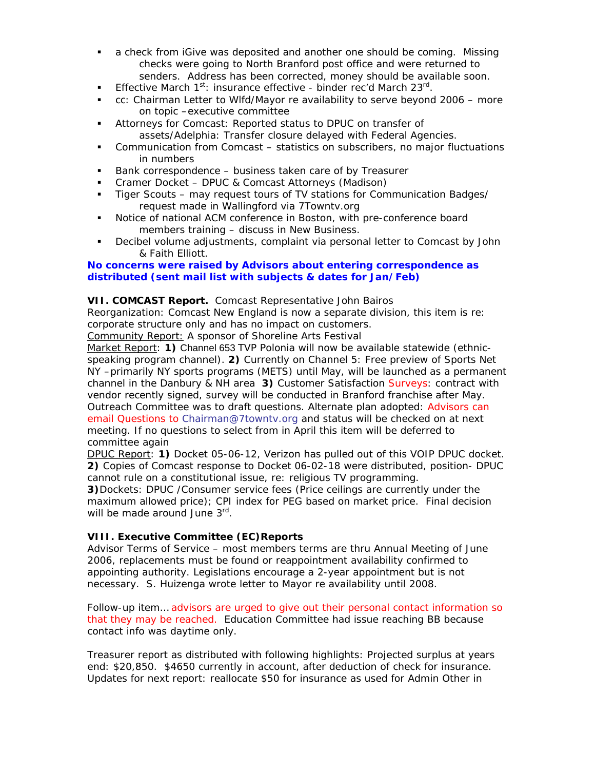- a check from iGive was deposited and another one should be coming. Missing checks were going to North Branford post office and were returned to senders. Address has been corrected, money should be available soon.
- Effective March  $1^{st}$ : insurance effective binder rec'd March 23<sup>rd</sup>.
- cc: Chairman Letter to Wlfd/Mayor re availability to serve beyond 2006 more on topic –executive committee
- Attorneys for Comcast: Reported status to DPUC on transfer of assets/Adelphia: Transfer closure delayed with Federal Agencies.
- Communication from Comcast statistics on subscribers, no major fluctuations in numbers
- Bank correspondence business taken care of by Treasurer
- Cramer Docket DPUC & Comcast Attorneys (Madison)
- Tiger Scouts may request tours of TV stations for Communication Badges/ request made in Wallingford via 7Towntv.org
- Notice of national ACM conference in Boston, with pre-conference board members training – discuss in New Business.
- Decibel volume adjustments, complaint via personal letter to Comcast by John & Faith Elliott.

## **No concerns were raised by Advisors about entering correspondence as distributed (sent mail list with subjects & dates for Jan/Feb)**

#### **VII. COMCAST Report.** Comcast Representative John Bairos

Reorganization: Comcast New England is now a separate division, this item is re: corporate structure only and has no impact on customers.

Community Report: A sponsor of Shoreline Arts Festival

Market Report: **1)** Channel 653 TVP Polonia will now be available statewide (ethnicspeaking program channel). **2)** Currently on Channel 5: Free preview of Sports Net NY –primarily NY sports programs (METS) until May, will be launched as a permanent channel in the Danbury & NH area **3)** Customer Satisfaction Surveys: contract with vendor recently signed, survey will be conducted in Branford franchise after May. Outreach Committee was to draft questions. Alternate plan adopted: Advisors can email Questions to Chairman@7towntv.org and status will be checked on at next meeting. If no questions to select from in April this item will be deferred to committee again

DPUC Report: **1)** Docket 05-06-12, Verizon has pulled out of this VOIP DPUC docket. **2)** Copies of Comcast response to Docket 06-02-18 were distributed, position- DPUC cannot rule on a constitutional issue, re: religious TV programming.

**3)**Dockets: DPUC /Consumer service fees (Price ceilings are currently under the maximum allowed price); CPI index for PEG based on market price. Final decision will be made around June 3rd.

## **VIII. Executive Committee (EC)Reports**

Advisor Terms of Service – most members terms are thru Annual Meeting of June 2006, replacements must be found or reappointment availability confirmed to appointing authority. Legislations encourage a 2-year appointment but is not necessary. S. Huizenga wrote letter to Mayor re availability until 2008.

Follow-up item… advisors are urged to give out their personal contact information so that they may be reached. Education Committee had issue reaching BB because contact info was daytime only.

Treasurer report as distributed with following highlights: Projected surplus at years end: \$20,850. \$4650 currently in account, after deduction of check for insurance. Updates for next report: reallocate \$50 for insurance as used for Admin Other in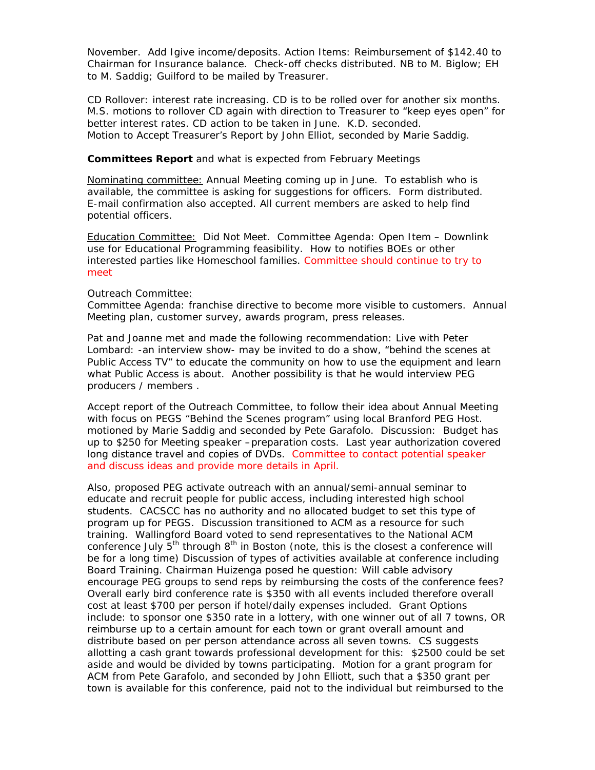November. Add Igive income/deposits. Action Items: Reimbursement of \$142.40 to Chairman for Insurance balance. Check-off checks distributed. NB to M. Biglow; EH to M. Saddig; Guilford to be mailed by Treasurer.

CD Rollover: interest rate increasing. CD is to be rolled over for another six months. M.S. motions to rollover CD again with direction to Treasurer to "keep eyes open" for better interest rates. CD action to be taken in June. K.D. seconded. Motion to Accept Treasurer's Report by John Elliot, seconded by Marie Saddig.

## **Committees Report** and what is expected from February Meetings

Nominating committee: Annual Meeting coming up in June. To establish who is available, the committee is asking for suggestions for officers. Form distributed. E-mail confirmation also accepted. All current members are asked to help find potential officers.

Education Committee: Did Not Meet. Committee Agenda: Open Item – Downlink use for Educational Programming feasibility. How to notifies BOEs or other interested parties like Homeschool families. Committee should continue to try to meet

## Outreach Committee:

Committee Agenda: franchise directive to become more visible to customers. Annual Meeting plan, customer survey, awards program, press releases.

Pat and Joanne met and made the following recommendation: *Live with Peter Lombard*: -an interview show- may be invited to do a show, "behind the scenes at Public Access TV" to educate the community on how to use the equipment and learn what Public Access is about. Another possibility is that he would interview PEG producers / members .

Accept report of the Outreach Committee, to follow their idea about Annual Meeting with focus on PEGS "Behind the Scenes program" using local Branford PEG Host. motioned by Marie Saddig and seconded by Pete Garafolo. Discussion: Budget has up to \$250 for Meeting speaker –preparation costs. Last year authorization covered long distance travel and copies of DVDs. Committee to contact potential speaker and discuss ideas and provide more details in April.

Also, proposed PEG activate outreach with an annual/semi-annual seminar to educate and recruit people for public access, including interested high school students. CACSCC has no authority and no allocated budget to set this type of program up for PEGS. Discussion transitioned to ACM as a resource for such training. Wallingford Board voted to send representatives to the National ACM conference July  $5<sup>th</sup>$  through  $8<sup>th</sup>$  in Boston (note, this is the closest a conference will be for a long time) Discussion of types of activities available at conference including Board Training. Chairman Huizenga posed he question: Will cable advisory encourage PEG groups to send reps by reimbursing the costs of the conference fees? Overall early bird conference rate is \$350 with all events included therefore overall cost at least \$700 per person if hotel/daily expenses included. Grant Options include: to sponsor one \$350 rate in a lottery, with one winner out of all 7 towns, OR reimburse up to a certain amount for each town or grant overall amount and distribute based on per person attendance across all seven towns. CS suggests allotting a cash grant towards professional development for this: \$2500 could be set aside and would be divided by towns participating. Motion for a grant program for ACM from Pete Garafolo, and seconded by John Elliott, such that a \$350 grant per town is available for this conference, paid not to the individual but reimbursed to the